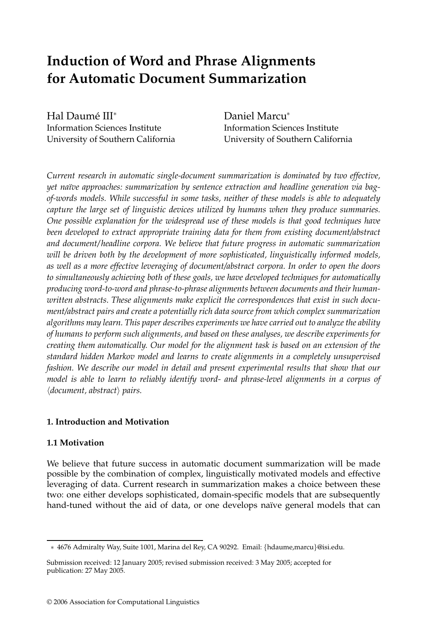# **Induction of Word and Phrase Alignments for Automatic Document Summarization**

Hal Daumé III<sup>\*</sup> Information Sciences Institute University of Southern California

Daniel Marcu<sup>∗</sup> Information Sciences Institute University of Southern California

*Current research in automatic single-document summarization is dominated by two effective, yet na¨ıve approaches: summarization by sentence extraction and headline generation via bagof-words models. While successful in some tasks, neither of these models is able to adequately capture the large set of linguistic devices utilized by humans when they produce summaries. One possible explanation for the widespread use of these models is that good techniques have been developed to extract appropriate training data for them from existing document/abstract and document/ headline corpora. We believe that future progress in automatic summarization will be driven both by the development of more sophisticated, linguistically informed models, as well as a more effective leveraging of document/abstract corpora. In order to open the doors to simultaneously achieving both of these goals, we have developed techniques for automatically producing word-to-word and phrase-to-phrase alignments between documents and their humanwritten abstracts. These alignments make explicit the correspondences that exist in such document/abstract pairs and create a potentially rich data source from which complex summarization algorithms may learn. This paper describes experiments we have carried out to analyze the ability of humans to perform such alignments, and based on these analyses, we describe experiments for creating them automatically. Our model for the alignment task is based on an extension of the standard hidden Markov model and learns to create alignments in a completely unsupervised fashion. We describe our model in detail and present experimental results that show that our model is able to learn to reliably identify word- and phrase-level alignments in a corpus of* -*document, abstract pairs.*

# **1. Introduction and Motivation**

# **1.1 Motivation**

We believe that future success in automatic document summarization will be made possible by the combination of complex, linguistically motivated models and effective leveraging of data. Current research in summarization makes a choice between these two: one either develops sophisticated, domain-specific models that are subsequently hand-tuned without the aid of data, or one develops naïve general models that can

<sup>∗</sup> 4676 Admiralty Way, Suite 1001, Marina del Rey, CA 90292. Email: {hdaume,marcu}@isi.edu.

Submission received: 12 January 2005; revised submission received: 3 May 2005; accepted for publication: 27 May 2005.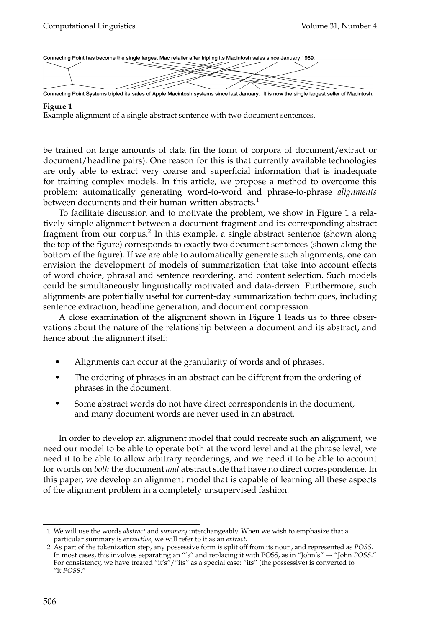Connecting Point has become the single largest Mac retailer after tripling its Macintosh sales since January 1989.



Connecting Point Systems tripled its sales of Apple Macintosh systems since last January. It is now the single largest seller of Macintosh.

#### **Figure 1**

Example alignment of a single abstract sentence with two document sentences.

be trained on large amounts of data (in the form of corpora of document/extract or document/headline pairs). One reason for this is that currently available technologies are only able to extract very coarse and superficial information that is inadequate for training complex models. In this article, we propose a method to overcome this problem: automatically generating word-to-word and phrase-to-phrase *alignments* between documents and their human-written abstracts.<sup>1</sup>

To facilitate discussion and to motivate the problem, we show in Figure 1 a relatively simple alignment between a document fragment and its corresponding abstract fragment from our corpus.<sup>2</sup> In this example, a single abstract sentence (shown along the top of the figure) corresponds to exactly two document sentences (shown along the bottom of the figure). If we are able to automatically generate such alignments, one can envision the development of models of summarization that take into account effects of word choice, phrasal and sentence reordering, and content selection. Such models could be simultaneously linguistically motivated and data-driven. Furthermore, such alignments are potentially useful for current-day summarization techniques, including sentence extraction, headline generation, and document compression.

A close examination of the alignment shown in Figure 1 leads us to three observations about the nature of the relationship between a document and its abstract, and hence about the alignment itself:

- Alignments can occur at the granularity of words and of phrases.
- The ordering of phrases in an abstract can be different from the ordering of phrases in the document.
- Some abstract words do not have direct correspondents in the document, and many document words are never used in an abstract.

In order to develop an alignment model that could recreate such an alignment, we need our model to be able to operate both at the word level and at the phrase level, we need it to be able to allow arbitrary reorderings, and we need it to be able to account for words on *both* the document *and* abstract side that have no direct correspondence. In this paper, we develop an alignment model that is capable of learning all these aspects of the alignment problem in a completely unsupervised fashion.

<sup>1</sup> We will use the words *abstract* and *summary* interchangeably. When we wish to emphasize that a particular summary is *extractive*, we will refer to it as an *extract.*

<sup>2</sup> As part of the tokenization step, any possessive form is split off from its noun, and represented as *POSS.* In most cases, this involves separating an "'s" and replacing it with POSS, as in "John's" → "John *POSS*." For consistency, we have treated "it's"/"its" as a special case: "its" (the possessive) is converted to "it *POSS*."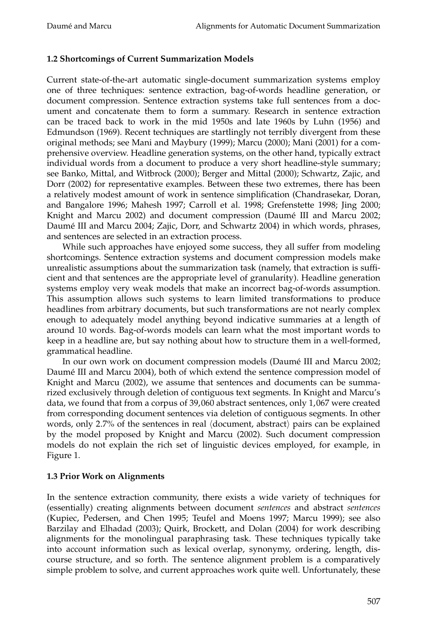# **1.2 Shortcomings of Current Summarization Models**

Current state-of-the-art automatic single-document summarization systems employ one of three techniques: sentence extraction, bag-of-words headline generation, or document compression. Sentence extraction systems take full sentences from a document and concatenate them to form a summary. Research in sentence extraction can be traced back to work in the mid 1950s and late 1960s by Luhn (1956) and Edmundson (1969). Recent techniques are startlingly not terribly divergent from these original methods; see Mani and Maybury (1999); Marcu (2000); Mani (2001) for a comprehensive overview. Headline generation systems, on the other hand, typically extract individual words from a document to produce a very short headline-style summary; see Banko, Mittal, and Witbrock (2000); Berger and Mittal (2000); Schwartz, Zajic, and Dorr (2002) for representative examples. Between these two extremes, there has been a relatively modest amount of work in sentence simplification (Chandrasekar, Doran, and Bangalore 1996; Mahesh 1997; Carroll et al. 1998; Grefenstette 1998; Jing 2000; Knight and Marcu 2002) and document compression (Daumé III and Marcu 2002; Daume III and Marcu 2004; Zajic, Dorr, and Schwartz 2004) in which words, phrases, ´ and sentences are selected in an extraction process.

While such approaches have enjoyed some success, they all suffer from modeling shortcomings. Sentence extraction systems and document compression models make unrealistic assumptions about the summarization task (namely, that extraction is sufficient and that sentences are the appropriate level of granularity). Headline generation systems employ very weak models that make an incorrect bag-of-words assumption. This assumption allows such systems to learn limited transformations to produce headlines from arbitrary documents, but such transformations are not nearly complex enough to adequately model anything beyond indicative summaries at a length of around 10 words. Bag-of-words models can learn what the most important words to keep in a headline are, but say nothing about how to structure them in a well-formed, grammatical headline.

In our own work on document compression models (Daumé III and Marcu 2002; Daumé III and Marcu 2004), both of which extend the sentence compression model of Knight and Marcu (2002), we assume that sentences and documents can be summarized exclusively through deletion of contiguous text segments. In Knight and Marcu's data, we found that from a corpus of 39,060 abstract sentences, only 1,067 were created from corresponding document sentences via deletion of contiguous segments. In other words, only 2.7% of the sentences in real (document, abstract) pairs can be explained by the model proposed by Knight and Marcu (2002). Such document compression models do not explain the rich set of linguistic devices employed, for example, in Figure 1.

# **1.3 Prior Work on Alignments**

In the sentence extraction community, there exists a wide variety of techniques for (essentially) creating alignments between document *sentences* and abstract *sentences* (Kupiec, Pedersen, and Chen 1995; Teufel and Moens 1997; Marcu 1999); see also Barzilay and Elhadad (2003); Quirk, Brockett, and Dolan (2004) for work describing alignments for the monolingual paraphrasing task. These techniques typically take into account information such as lexical overlap, synonymy, ordering, length, discourse structure, and so forth. The sentence alignment problem is a comparatively simple problem to solve, and current approaches work quite well. Unfortunately, these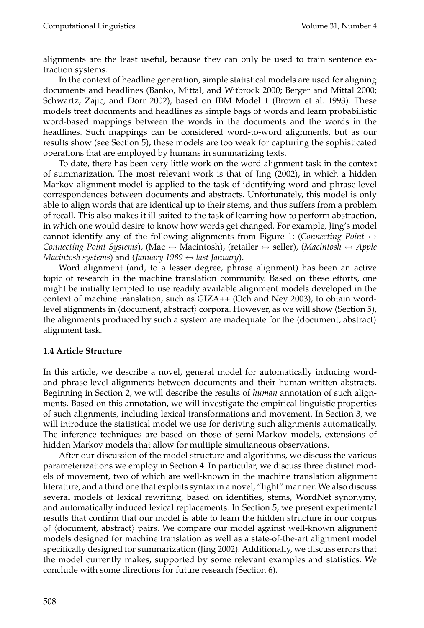alignments are the least useful, because they can only be used to train sentence extraction systems.

In the context of headline generation, simple statistical models are used for aligning documents and headlines (Banko, Mittal, and Witbrock 2000; Berger and Mittal 2000; Schwartz, Zajic, and Dorr 2002), based on IBM Model 1 (Brown et al. 1993). These models treat documents and headlines as simple bags of words and learn probabilistic word-based mappings between the words in the documents and the words in the headlines. Such mappings can be considered word-to-word alignments, but as our results show (see Section 5), these models are too weak for capturing the sophisticated operations that are employed by humans in summarizing texts.

To date, there has been very little work on the word alignment task in the context of summarization. The most relevant work is that of Jing (2002), in which a hidden Markov alignment model is applied to the task of identifying word and phrase-level correspondences between documents and abstracts. Unfortunately, this model is only able to align words that are identical up to their stems, and thus suffers from a problem of recall. This also makes it ill-suited to the task of learning how to perform abstraction, in which one would desire to know how words get changed. For example, Jing's model cannot identify any of the following alignments from Figure 1: (*Connecting Point*  $\leftrightarrow$ *Connecting Point Systems*), (Mac ↔ Macintosh), (retailer ↔ seller), (*Macintosh* ↔ *Apple Macintosh systems*) and (*January 1989* ↔ *last January*).

Word alignment (and, to a lesser degree, phrase alignment) has been an active topic of research in the machine translation community. Based on these efforts, one might be initially tempted to use readily available alignment models developed in the context of machine translation, such as GIZA++ (Och and Ney 2003), to obtain wordlevel alignments in -document, abstract corpora. However, as we will show (Section 5), the alignments produced by such a system are inadequate for the  $\langle$  document, abstract $\rangle$ alignment task.

# **1.4 Article Structure**

In this article, we describe a novel, general model for automatically inducing wordand phrase-level alignments between documents and their human-written abstracts. Beginning in Section 2, we will describe the results of *human* annotation of such alignments. Based on this annotation, we will investigate the empirical linguistic properties of such alignments, including lexical transformations and movement. In Section 3, we will introduce the statistical model we use for deriving such alignments automatically. The inference techniques are based on those of semi-Markov models, extensions of hidden Markov models that allow for multiple simultaneous observations.

After our discussion of the model structure and algorithms, we discuss the various parameterizations we employ in Section 4. In particular, we discuss three distinct models of movement, two of which are well-known in the machine translation alignment literature, and a third one that exploits syntax in a novel, "light" manner. We also discuss several models of lexical rewriting, based on identities, stems, WordNet synonymy, and automatically induced lexical replacements. In Section 5, we present experimental results that confirm that our model is able to learn the hidden structure in our corpus of (document, abstract) pairs. We compare our model against well-known alignment models designed for machine translation as well as a state-of-the-art alignment model specifically designed for summarization (Jing 2002). Additionally, we discuss errors that the model currently makes, supported by some relevant examples and statistics. We conclude with some directions for future research (Section 6).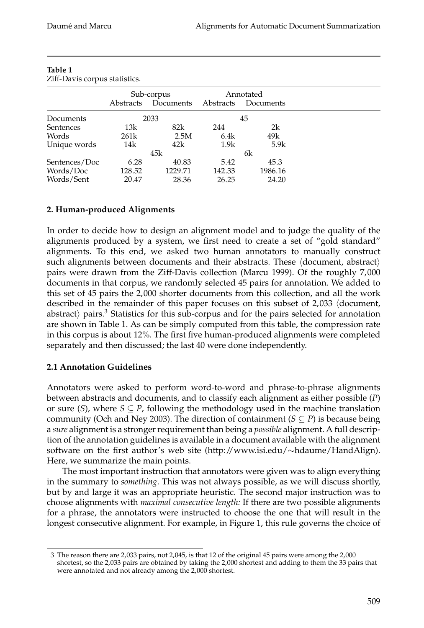|               | Sub-corpus<br>Documents<br>Abstracts |         | Annotated<br>Abstracts<br>Documents |         |
|---------------|--------------------------------------|---------|-------------------------------------|---------|
|               |                                      |         |                                     |         |
| Documents     |                                      | 2033    |                                     | 45      |
| Sentences     | 13k                                  | 82k     | 244                                 | 2k      |
| Words         | 261k                                 | 2.5M    | 6.4k                                | 49k     |
| Unique words  | 14k                                  | 42k     | 1.9k                                | 5.9k    |
|               |                                      | 45k     |                                     | 6k      |
| Sentences/Doc | 6.28                                 | 40.83   | 5.42                                | 45.3    |
| Words/Doc     | 128.52                               | 1229.71 | 142.33                              | 1986.16 |
| Words/Sent    | 20.47                                | 28.36   | 26.25                               | 24.20   |

### **Table 1** Ziff-Davis corpus statistics.

# **2. Human-produced Alignments**

In order to decide how to design an alignment model and to judge the quality of the alignments produced by a system, we first need to create a set of "gold standard" alignments. To this end, we asked two human annotators to manually construct such alignments between documents and their abstracts. These  $\langle$ document, abstract $\rangle$ pairs were drawn from the Ziff-Davis collection (Marcu 1999). Of the roughly 7,000 documents in that corpus, we randomly selected 45 pairs for annotation. We added to this set of 45 pairs the 2,000 shorter documents from this collection, and all the work described in the remainder of this paper focuses on this subset of 2,033 (document, abstract) pairs. $3$  Statistics for this sub-corpus and for the pairs selected for annotation are shown in Table 1. As can be simply computed from this table, the compression rate in this corpus is about 12%. The first five human-produced alignments were completed separately and then discussed; the last 40 were done independently.

# **2.1 Annotation Guidelines**

Annotators were asked to perform word-to-word and phrase-to-phrase alignments between abstracts and documents, and to classify each alignment as either possible (*P*) or sure  $(S)$ , where  $S \subseteq P$ , following the methodology used in the machine translation community (Och and Ney 2003). The direction of containment ( $S \subseteq P$ ) is because being a *sure* alignment is a stronger requirement than being a *possible* alignment. A full description of the annotation guidelines is available in a document available with the alignment software on the first author's web site (http://www.isi.edu/∼hdaume/HandAlign). Here, we summarize the main points.

The most important instruction that annotators were given was to align everything in the summary to *something*. This was not always possible, as we will discuss shortly, but by and large it was an appropriate heuristic. The second major instruction was to choose alignments with *maximal consecutive length:* If there are two possible alignments for a phrase, the annotators were instructed to choose the one that will result in the longest consecutive alignment. For example, in Figure 1, this rule governs the choice of

<sup>3</sup> The reason there are 2,033 pairs, not 2,045, is that 12 of the original 45 pairs were among the 2,000 shortest, so the 2,033 pairs are obtained by taking the 2,000 shortest and adding to them the 33 pairs that were annotated and not already among the 2,000 shortest.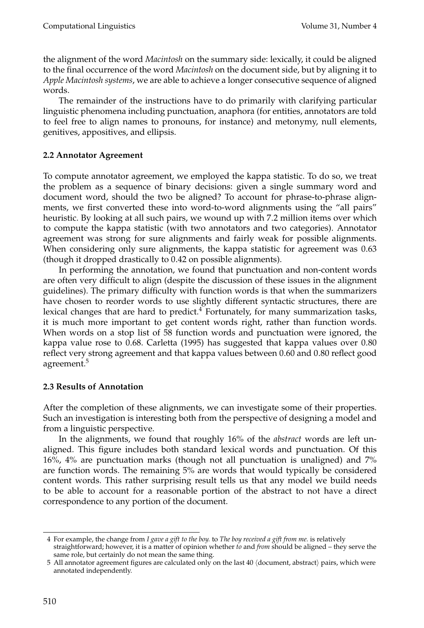the alignment of the word *Macintosh* on the summary side: lexically, it could be aligned to the final occurrence of the word *Macintosh* on the document side, but by aligning it to *Apple Macintosh systems*, we are able to achieve a longer consecutive sequence of aligned words.

The remainder of the instructions have to do primarily with clarifying particular linguistic phenomena including punctuation, anaphora (for entities, annotators are told to feel free to align names to pronouns, for instance) and metonymy, null elements, genitives, appositives, and ellipsis.

# **2.2 Annotator Agreement**

To compute annotator agreement, we employed the kappa statistic. To do so, we treat the problem as a sequence of binary decisions: given a single summary word and document word, should the two be aligned? To account for phrase-to-phrase alignments, we first converted these into word-to-word alignments using the "all pairs" heuristic. By looking at all such pairs, we wound up with 7.2 million items over which to compute the kappa statistic (with two annotators and two categories). Annotator agreement was strong for sure alignments and fairly weak for possible alignments. When considering only sure alignments, the kappa statistic for agreement was 0.63 (though it dropped drastically to 0.42 on possible alignments).

In performing the annotation, we found that punctuation and non-content words are often very difficult to align (despite the discussion of these issues in the alignment guidelines). The primary difficulty with function words is that when the summarizers have chosen to reorder words to use slightly different syntactic structures, there are lexical changes that are hard to predict.4 Fortunately, for many summarization tasks, it is much more important to get content words right, rather than function words. When words on a stop list of 58 function words and punctuation were ignored, the kappa value rose to 0.68. Carletta (1995) has suggested that kappa values over 0.80 reflect very strong agreement and that kappa values between 0.60 and 0.80 reflect good agreement.<sup>5</sup>

# **2.3 Results of Annotation**

After the completion of these alignments, we can investigate some of their properties. Such an investigation is interesting both from the perspective of designing a model and from a linguistic perspective.

In the alignments, we found that roughly 16% of the *abstract* words are left unaligned. This figure includes both standard lexical words and punctuation. Of this 16%, 4% are punctuation marks (though not all punctuation is unaligned) and 7% are function words. The remaining 5% are words that would typically be considered content words. This rather surprising result tells us that any model we build needs to be able to account for a reasonable portion of the abstract to not have a direct correspondence to any portion of the document.

<sup>4</sup> For example, the change from *I gave a gift to the boy.* to *The boy received a gift from me.* is relatively straightforward; however, it is a matter of opinion whether *to* and *from* should be aligned – they serve the same role, but certainly do not mean the same thing.

 $5$  All annotator agreement figures are calculated only on the last  $40$   $\langle$ document, abstract $\rangle$  pairs, which were annotated independently.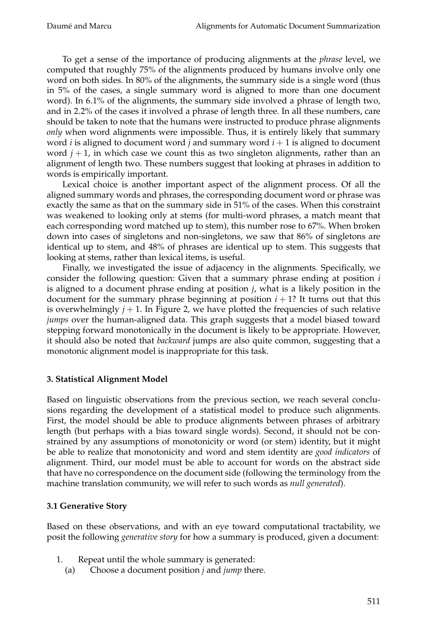To get a sense of the importance of producing alignments at the *phrase* level, we computed that roughly 75% of the alignments produced by humans involve only one word on both sides. In 80% of the alignments, the summary side is a single word (thus in 5% of the cases, a single summary word is aligned to more than one document word). In 6.1% of the alignments, the summary side involved a phrase of length two, and in 2.2% of the cases it involved a phrase of length three. In all these numbers, care should be taken to note that the humans were instructed to produce phrase alignments *only* when word alignments were impossible. Thus, it is entirely likely that summary word *i* is aligned to document word *j* and summary word  $i + 1$  is aligned to document word  $j + 1$ , in which case we count this as two singleton alignments, rather than an alignment of length two. These numbers suggest that looking at phrases in addition to words is empirically important.

Lexical choice is another important aspect of the alignment process. Of all the aligned summary words and phrases, the corresponding document word or phrase was exactly the same as that on the summary side in 51% of the cases. When this constraint was weakened to looking only at stems (for multi-word phrases, a match meant that each corresponding word matched up to stem), this number rose to 67%. When broken down into cases of singletons and non-singletons, we saw that 86% of singletons are identical up to stem, and 48% of phrases are identical up to stem. This suggests that looking at stems, rather than lexical items, is useful.

Finally, we investigated the issue of adjacency in the alignments. Specifically, we consider the following question: Given that a summary phrase ending at position *i* is aligned to a document phrase ending at position *j*, what is a likely position in the document for the summary phrase beginning at position  $i + 1$ ? It turns out that this is overwhelmingly  $j + 1$ . In Figure 2, we have plotted the frequencies of such relative *jumps* over the human-aligned data. This graph suggests that a model biased toward stepping forward monotonically in the document is likely to be appropriate. However, it should also be noted that *backward* jumps are also quite common, suggesting that a monotonic alignment model is inappropriate for this task.

# **3. Statistical Alignment Model**

Based on linguistic observations from the previous section, we reach several conclusions regarding the development of a statistical model to produce such alignments. First, the model should be able to produce alignments between phrases of arbitrary length (but perhaps with a bias toward single words). Second, it should not be constrained by any assumptions of monotonicity or word (or stem) identity, but it might be able to realize that monotonicity and word and stem identity are *good indicators* of alignment. Third, our model must be able to account for words on the abstract side that have no correspondence on the document side (following the terminology from the machine translation community, we will refer to such words as *null generated*).

# **3.1 Generative Story**

Based on these observations, and with an eye toward computational tractability, we posit the following *generative story* for how a summary is produced, given a document:

- 1. Repeat until the whole summary is generated:
	- (a) Choose a document position *j* and *jump* there.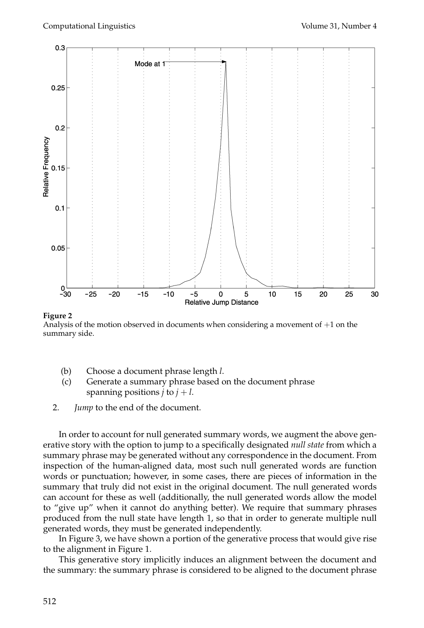

#### **Figure 2**

Analysis of the motion observed in documents when considering a movement of  $+1$  on the summary side.

- (b) Choose a document phrase length *l*.
- (c) Generate a summary phrase based on the document phrase spanning positions  $j$  to  $j + l$ .
- 2. *Jump* to the end of the document.

In order to account for null generated summary words, we augment the above generative story with the option to jump to a specifically designated *null state* from which a summary phrase may be generated without any correspondence in the document. From inspection of the human-aligned data, most such null generated words are function words or punctuation; however, in some cases, there are pieces of information in the summary that truly did not exist in the original document. The null generated words can account for these as well (additionally, the null generated words allow the model to "give up" when it cannot do anything better). We require that summary phrases produced from the null state have length 1, so that in order to generate multiple null generated words, they must be generated independently.

In Figure 3, we have shown a portion of the generative process that would give rise to the alignment in Figure 1.

This generative story implicitly induces an alignment between the document and the summary: the summary phrase is considered to be aligned to the document phrase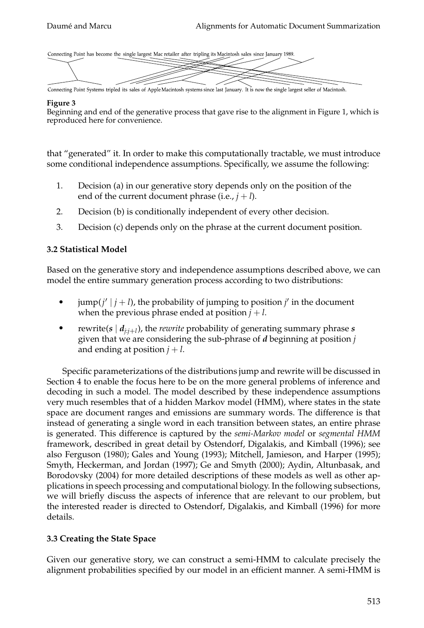Connecting Point has become the single largest Mac retailer after tripling its Macintosh sales since January 1989.



Connecting Point Systems tripled its sales of Apple Macintosh systems since last January. It is now the single largest seller of Macintosh.

### **Figure 3**

Beginning and end of the generative process that gave rise to the alignment in Figure 1, which is reproduced here for convenience.

that "generated" it. In order to make this computationally tractable, we must introduce some conditional independence assumptions. Specifically, we assume the following:

- 1. Decision (a) in our generative story depends only on the position of the end of the current document phrase (i.e.,  $j + l$ ).
- 2. Decision (b) is conditionally independent of every other decision.
- 3. Decision (c) depends only on the phrase at the current document position.

# **3.2 Statistical Model**

Based on the generative story and independence assumptions described above, we can model the entire summary generation process according to two distributions:

- $\bullet$  jump( $j' | j + l$ ), the probability of jumping to position  $j'$  in the document when the previous phrase ended at position  $j + l$ .
- rewrite( $s \mid d_{i:i+1}$ ), the *rewrite* probability of generating summary phrase  $s$ given that we are considering the sub-phrase of *d* beginning at position *j* and ending at position  $j + l$ .

Specific parameterizations of the distributions jump and rewrite will be discussed in Section 4 to enable the focus here to be on the more general problems of inference and decoding in such a model. The model described by these independence assumptions very much resembles that of a hidden Markov model (HMM), where states in the state space are document ranges and emissions are summary words. The difference is that instead of generating a single word in each transition between states, an entire phrase is generated. This difference is captured by the *semi-Markov model* or *segmental HMM* framework, described in great detail by Ostendorf, Digalakis, and Kimball (1996); see also Ferguson (1980); Gales and Young (1993); Mitchell, Jamieson, and Harper (1995); Smyth, Heckerman, and Jordan (1997); Ge and Smyth (2000); Aydin, Altunbasak, and Borodovsky (2004) for more detailed descriptions of these models as well as other applications in speech processing and computational biology. In the following subsections, we will briefly discuss the aspects of inference that are relevant to our problem, but the interested reader is directed to Ostendorf, Digalakis, and Kimball (1996) for more details.

# **3.3 Creating the State Space**

Given our generative story, we can construct a semi-HMM to calculate precisely the alignment probabilities specified by our model in an efficient manner. A semi-HMM is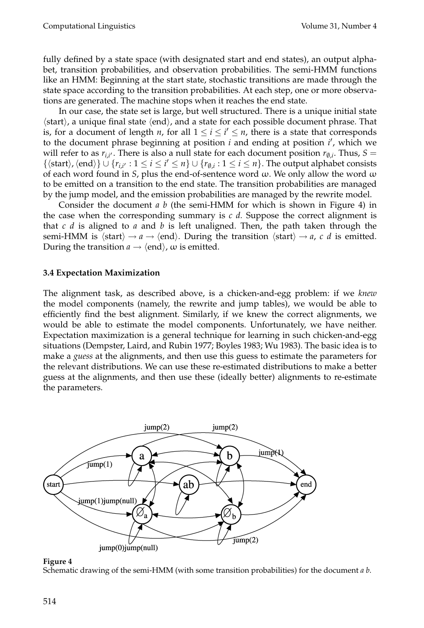fully defined by a state space (with designated start and end states), an output alphabet, transition probabilities, and observation probabilities. The semi-HMM functions like an HMM: Beginning at the start state, stochastic transitions are made through the state space according to the transition probabilities. At each step, one or more observations are generated. The machine stops when it reaches the end state.

In our case, the state set is large, but well structured. There is a unique initial state  $\langle$ start $\rangle$ , a unique final state  $\langle$ end $\rangle$ , and a state for each possible document phrase. That is, for a document of length *n*, for all  $1 \leq i \leq i' \leq n$ , there is a state that corresponds to the document phrase beginning at position *i* and ending at position *i* , which we will refer to as  $r_{i,i'}$ . There is also a null state for each document position  $r_{\emptyset,i}$ . Thus,  $S =$  $\{\langle \text{start}\rangle, \langle \text{end}\rangle\} \cup \{r_{i,i'} : 1 \leq i \leq i' \leq n\} \cup \{r_{\emptyset,i} : 1 \leq i \leq n\}.$  The output alphabet consists of each word found in *S*, plus the end-of-sentence word  $\omega$ . We only allow the word  $\omega$ to be emitted on a transition to the end state. The transition probabilities are managed by the jump model, and the emission probabilities are managed by the rewrite model.

Consider the document *a b* (the semi-HMM for which is shown in Figure 4) in the case when the corresponding summary is  $c \, d$ . Suppose the correct alignment is that *c d* is aligned to *a* and *b* is left unaligned. Then, the path taken through the semi-HMM is  $\langle start \rangle \rightarrow a \rightarrow \langle end \rangle$ . During the transition  $\langle start \rangle \rightarrow a$ , *c d* is emitted. During the transition  $a \rightarrow \langle \text{end} \rangle$ ,  $\omega$  is emitted.

# **3.4 Expectation Maximization**

The alignment task, as described above, is a chicken-and-egg problem: if we *knew* the model components (namely, the rewrite and jump tables), we would be able to efficiently find the best alignment. Similarly, if we knew the correct alignments, we would be able to estimate the model components. Unfortunately, we have neither. Expectation maximization is a general technique for learning in such chicken-and-egg situations (Dempster, Laird, and Rubin 1977; Boyles 1983; Wu 1983). The basic idea is to make a *guess* at the alignments, and then use this guess to estimate the parameters for the relevant distributions. We can use these re-estimated distributions to make a better guess at the alignments, and then use these (ideally better) alignments to re-estimate the parameters.



### **Figure 4**

Schematic drawing of the semi-HMM (with some transition probabilities) for the document *a b*.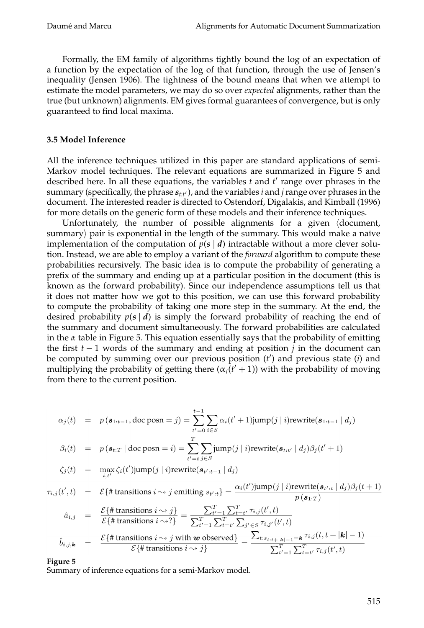Formally, the EM family of algorithms tightly bound the log of an expectation of a function by the expectation of the log of that function, through the use of Jensen's inequality (Jensen 1906). The tightness of the bound means that when we attempt to estimate the model parameters, we may do so over *expected* alignments, rather than the true (but unknown) alignments. EM gives formal guarantees of convergence, but is only guaranteed to find local maxima.

### **3.5 Model Inference**

All the inference techniques utilized in this paper are standard applications of semi-Markov model techniques. The relevant equations are summarized in Figure 5 and described here. In all these equations, the variables *t* and *t* range over phrases in the summary (specifically, the phrase *st*:*t* ), and the variables *i* and *j*range over phrases in the document. The interested reader is directed to Ostendorf, Digalakis, and Kimball (1996) for more details on the generic form of these models and their inference techniques.

Unfortunately, the number of possible alignments for a given (document, summary $\rangle$  pair is exponential in the length of the summary. This would make a naïve implementation of the computation of  $p(s | d)$  intractable without a more clever solution. Instead, we are able to employ a variant of the *forward* algorithm to compute these probabilities recursively. The basic idea is to compute the probability of generating a prefix of the summary and ending up at a particular position in the document (this is known as the forward probability). Since our independence assumptions tell us that it does not matter how we got to this position, we can use this forward probability to compute the probability of taking one more step in the summary. At the end, the desired probability  $p(s | d)$  is simply the forward probability of reaching the end of the summary and document simultaneously. The forward probabilities are calculated in the  $\alpha$  table in Figure 5. This equation essentially says that the probability of emitting the first *t* − 1 words of the summary and ending at position *j* in the document can be computed by summing over our previous position (*t* ) and previous state (*i*) and multiplying the probability of getting there  $(\alpha_i(t'+1))$  with the probability of moving from there to the current position.

$$
\alpha_j(t) = p(\mathbf{s}_{1:t-1}, \text{doc posn} = j) = \sum_{t'=0}^{t-1} \sum_{i \in S} \alpha_i(t' + 1) \text{jump}(j | i) \text{rewrite}(\mathbf{s}_{1:t-1} | d_j)
$$
\n
$$
\beta_i(t) = p(\mathbf{s}_{t:T} | \text{doc posn} = i) = \sum_{t'=t}^{T} \sum_{j \in S} \text{jump}(j | i) \text{rewrite}(\mathbf{s}_{t:t'} | d_j) \beta_j(t' + 1)
$$
\n
$$
\zeta_j(t) = \max_{i,t'} \zeta_i(t') \text{jump}(j | i) \text{rewrite}(\mathbf{s}_{t':t-1} | d_j)
$$
\n
$$
\tau_{i,j}(t',t) = \mathcal{E}\{\text{\# transitions } i \sim j \text{ emitting } s_{t':t}\} = \frac{\alpha_i(t') \text{jump}(j | i) \text{rewrite}(\mathbf{s}_{t':t} | d_j) \beta_j(t + 1)}{p(\mathbf{s}_{1:T})}
$$
\n
$$
\hat{a}_{i,j} = \frac{\mathcal{E}\{\text{\# transitions } i \sim j\}}{\mathcal{E}\{\text{\# transitions } i \sim j\}} = \frac{\sum_{t'=1}^{T} \sum_{t=t'}^{T} \tau_{i,j}(t',t)}{\sum_{t'=1}^{T} \sum_{t=t'}^{T} \sum_{j' \in S} \tau_{i,j'}(t',t)}
$$

$$
\hat{b}_{i,j,\mathbf{k}} = \frac{\mathcal{E}\{\#\text{ transitions }i\sim j \text{ with } \mathbf{w} \text{ observed}\}}{\mathcal{E}\{\#\text{ transitions }i\sim j\}} = \frac{\sum_{t:s_{t:t+|\mathbf{k}|-1}=\mathbf{k}}\tau_{i,j}(t,t+|\mathbf{k}|-1)}{\sum_{t'=1}^{T}\sum_{t=t'}^{T}\tau_{i,j}(t',t)}
$$

**Figure 5**

Summary of inference equations for a semi-Markov model.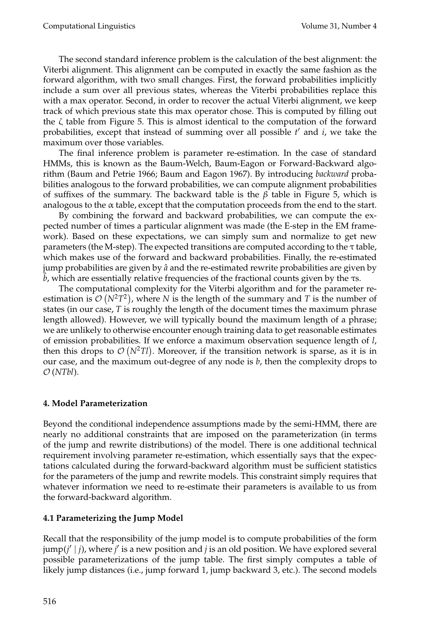The second standard inference problem is the calculation of the best alignment: the Viterbi alignment. This alignment can be computed in exactly the same fashion as the forward algorithm, with two small changes. First, the forward probabilities implicitly include a sum over all previous states, whereas the Viterbi probabilities replace this with a max operator. Second, in order to recover the actual Viterbi alignment, we keep track of which previous state this max operator chose. This is computed by filling out the  $\zeta$  table from Figure 5. This is almost identical to the computation of the forward probabilities, except that instead of summing over all possible *t* and *i*, we take the maximum over those variables.

The final inference problem is parameter re-estimation. In the case of standard HMMs, this is known as the Baum-Welch, Baum-Eagon or Forward-Backward algorithm (Baum and Petrie 1966; Baum and Eagon 1967). By introducing *backward* probabilities analogous to the forward probabilities, we can compute alignment probabilities of suffixes of the summary. The backward table is the  $\beta$  table in Figure 5, which is analogous to the  $\alpha$  table, except that the computation proceeds from the end to the start.

By combining the forward and backward probabilities, we can compute the expected number of times a particular alignment was made (the E-step in the EM framework). Based on these expectations, we can simply sum and normalize to get new parameters (the M-step). The expected transitions are computed according to the τ table, which makes use of the forward and backward probabilities. Finally, the re-estimated jump probabilities are given by  $\hat{a}$  and the re-estimated rewrite probabilities are given by *b*, which are essentially relative frequencies of the fractional counts given by the τs.

The computational complexity for the Viterbi algorithm and for the parameter reestimation is  $\mathcal{O}(N^2T^2)$ , where *N* is the length of the summary and *T* is the number of states (in our case, *T* is roughly the length of the document times the maximum phrase length allowed). However, we will typically bound the maximum length of a phrase; we are unlikely to otherwise encounter enough training data to get reasonable estimates of emission probabilities. If we enforce a maximum observation sequence length of *l*, then this drops to  $\mathcal{O}(N^2Tl)$ . Moreover, if the transition network is sparse, as it is in our case, and the maximum out-degree of any node is *b*, then the complexity drops to O (*NTbl*).

# **4. Model Parameterization**

Beyond the conditional independence assumptions made by the semi-HMM, there are nearly no additional constraints that are imposed on the parameterization (in terms of the jump and rewrite distributions) of the model. There is one additional technical requirement involving parameter re-estimation, which essentially says that the expectations calculated during the forward-backward algorithm must be sufficient statistics for the parameters of the jump and rewrite models. This constraint simply requires that whatever information we need to re-estimate their parameters is available to us from the forward-backward algorithm.

# **4.1 Parameterizing the Jump Model**

Recall that the responsibility of the jump model is to compute probabilities of the form jump(*j* | *j*), where *j* is a new position and *j* is an old position. We have explored several possible parameterizations of the jump table. The first simply computes a table of likely jump distances (i.e., jump forward 1, jump backward 3, etc.). The second models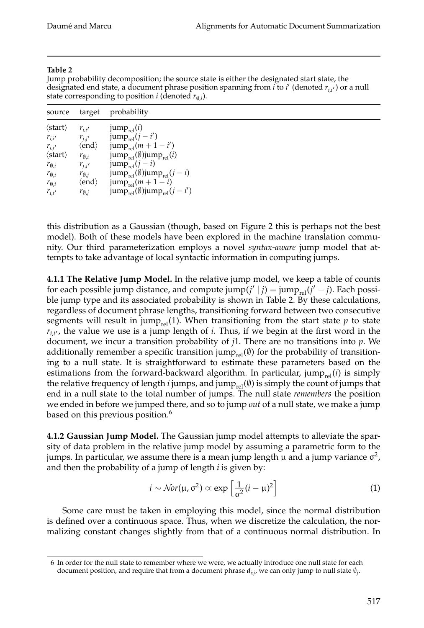### **Table 2**

Jump probability decomposition; the source state is either the designated start state, the designated end state, a document phrase position spanning from *i* to *i* (denoted *ri*,*<sup>i</sup>* ) or a null state corresponding to position *i* (denoted  $r_{\emptyset,i}$ ).

| source                    | target                       | probability                                                      |
|---------------------------|------------------------------|------------------------------------------------------------------|
| $\langle$ start $\rangle$ | $r_{i,i'}$                   | jum $p_{rel}(i)$                                                 |
| $r_{i,i'}$                | $r_{j,j'}$                   | $jump_{rel}(j - i')$                                             |
| $r_{i,j'}$                | $\langle$ end $\rangle$      | $jump_{rel}(m+1-i')$                                             |
| $\langle$ start $\rangle$ | $r_{\emptyset,i}$            | jump <sub>rel</sub> $(\emptyset)$ jump <sub>rel</sub> $(i)$      |
| $r_{\emptyset,i}$         | $r_{j,j'}$                   | $jump_{rel}(j - i)$                                              |
| $r_{\emptyset,i}$         | $r_{\emptyset, j}$           | jump <sub>rel</sub> $(\emptyset)$ jump <sub>rel</sub> $(j - i)$  |
| $r_{\emptyset,i}$         | $\langle \text{end} \rangle$ | $jump_{rel}(m+1-i)$                                              |
| $r_{i,i'}$                | $r_{\emptyset,i}$            | jump <sub>rel</sub> $(\emptyset)$ jump <sub>rel</sub> $(j - i')$ |

this distribution as a Gaussian (though, based on Figure 2 this is perhaps not the best model). Both of these models have been explored in the machine translation community. Our third parameterization employs a novel *syntax-aware* jump model that attempts to take advantage of local syntactic information in computing jumps.

**4.1.1 The Relative Jump Model.** In the relative jump model, we keep a table of counts for each possible jump distance, and compute jump $(j' | j) = \text{jump}_{rel}(j' - j)$ . Each possible jump type and its associated probability is shown in Table 2. By these calculations, regardless of document phrase lengths, transitioning forward between two consecutive segments will result in jump<sub>rel</sub>(1). When transitioning from the start state  $p$  to state  $r_{i,i'}$ , the value we use is a jump length of *i*. Thus, if we begin at the first word in the document, we incur a transition probability of *j*1. There are no transitions into *p*. We additionally remember a specific transition jump<sub>rel</sub>( $\emptyset$ ) for the probability of transitioning to a null state. It is straightforward to estimate these parameters based on the estimations from the forward-backward algorithm. In particular,  $jump_{rel}(i)$  is simply the relative frequency of length *i* jumps, and jump<sub>rel</sub> $(\emptyset)$  is simply the count of jumps that end in a null state to the total number of jumps. The null state *remembers* the position we ended in before we jumped there, and so to jump *out* of a null state, we make a jump based on this previous position.<sup>6</sup>

**4.1.2 Gaussian Jump Model.** The Gaussian jump model attempts to alleviate the sparsity of data problem in the relative jump model by assuming a parametric form to the jumps. In particular, we assume there is a mean jump length  $\mu$  and a jump variance  $\sigma^2$ , and then the probability of a jump of length *i* is given by:

$$
i \sim \mathcal{N}or(\mu, \sigma^2) \propto \exp\left[\frac{1}{\sigma^2}(i-\mu)^2\right]
$$
 (1)

Some care must be taken in employing this model, since the normal distribution is defined over a continuous space. Thus, when we discretize the calculation, the normalizing constant changes slightly from that of a continuous normal distribution. In

<sup>6</sup> In order for the null state to remember where we were, we actually introduce one null state for each document position, and require that from a document phrase *di*:*j*, we can only jump to null state ∅*j*.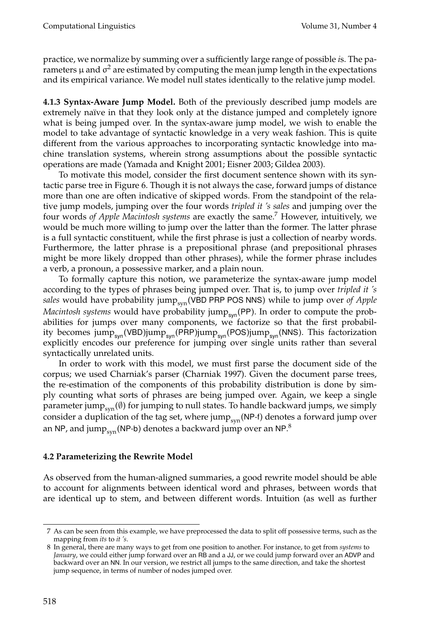practice, we normalize by summing over a sufficiently large range of possible *i*s. The parameters  $\mu$  and  $\sigma^2$  are estimated by computing the mean jump length in the expectations and its empirical variance. We model null states identically to the relative jump model.

**4.1.3 Syntax-Aware Jump Model.** Both of the previously described jump models are extremely naïve in that they look only at the distance jumped and completely ignore what is being jumped over. In the syntax-aware jump model, we wish to enable the model to take advantage of syntactic knowledge in a very weak fashion. This is quite different from the various approaches to incorporating syntactic knowledge into machine translation systems, wherein strong assumptions about the possible syntactic operations are made (Yamada and Knight 2001; Eisner 2003; Gildea 2003).

To motivate this model, consider the first document sentence shown with its syntactic parse tree in Figure 6. Though it is not always the case, forward jumps of distance more than one are often indicative of skipped words. From the standpoint of the relative jump models, jumping over the four words *tripled it 's sales* and jumping over the four words *of Apple Macintosh systems* are exactly the same.7 However, intuitively, we would be much more willing to jump over the latter than the former. The latter phrase is a full syntactic constituent, while the first phrase is just a collection of nearby words. Furthermore, the latter phrase is a prepositional phrase (and prepositional phrases might be more likely dropped than other phrases), while the former phrase includes a verb, a pronoun, a possessive marker, and a plain noun.

To formally capture this notion, we parameterize the syntax-aware jump model according to the types of phrases being jumped over. That is, to jump over *tripled it 's* sales would have probability jump<sub>syn</sub>(VBD PRP POS NNS) while to jump over of Apple *Macintosh systems* would have probability jump<sub>syn</sub>(PP). In order to compute the probabilities for jumps over many components, we factorize so that the first probability becomes  $jump_{syn}(VBD)jump_{syn}(PRP)jump_{syn}(POS)jump_{syn}(NNS)$ . This factorization explicitly encodes our preference for jumping over single units rather than several syntactically unrelated units.

In order to work with this model, we must first parse the document side of the corpus; we used Charniak's parser (Charniak 1997). Given the document parse trees, the re-estimation of the components of this probability distribution is done by simply counting what sorts of phrases are being jumped over. Again, we keep a single parameter jump<sub>syn</sub> $(\emptyset)$  for jumping to null states. To handle backward jumps, we simply consider a duplication of the tag set, where jump $_{syn}$ (NP-f) denotes a forward jump over an NP, and jum $\rm p_{syn}$ (NP-b) denotes a backward jump over an NP. $^8$ 

# **4.2 Parameterizing the Rewrite Model**

As observed from the human-aligned summaries, a good rewrite model should be able to account for alignments between identical word and phrases, between words that are identical up to stem, and between different words. Intuition (as well as further

<sup>7</sup> As can be seen from this example, we have preprocessed the data to split off possessive terms, such as the mapping from *its* to *it 's*.

<sup>8</sup> In general, there are many ways to get from one position to another. For instance, to get from *systems* to *January*, we could either jump forward over an RB and a JJ, or we could jump forward over an ADVP and backward over an NN. In our version, we restrict all jumps to the same direction, and take the shortest jump sequence, in terms of number of nodes jumped over.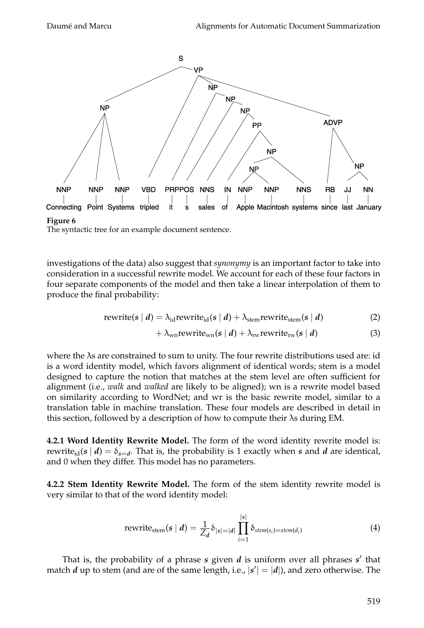

#### **Figure 6**

The syntactic tree for an example document sentence.

investigations of the data) also suggest that *synonymy* is an important factor to take into consideration in a successful rewrite model. We account for each of these four factors in four separate components of the model and then take a linear interpolation of them to produce the final probability:

$$
rewrite(s | d) = \lambda_{id} rewrite_{id}(s | d) + \lambda_{stem} rewrite_{stem}(s | d)
$$
 (2)

$$
+\lambda_{\rm wn}\text{rewrite}_{\rm wn}(s\mid d)+\lambda_{\rm rw}\text{rewrite}_{\rm rw}(s\mid d) \tag{3}
$$

where the λs are constrained to sum to unity. The four rewrite distributions used are: id is a word identity model, which favors alignment of identical words; stem is a model designed to capture the notion that matches at the stem level are often sufficient for alignment (i.e., *walk* and *walked* are likely to be aligned); wn is a rewrite model based on similarity according to WordNet; and wr is the basic rewrite model, similar to a translation table in machine translation. These four models are described in detail in this section, followed by a description of how to compute their λs during EM.

**4.2.1 Word Identity Rewrite Model.** The form of the word identity rewrite model is: rewrite<sub>id</sub>( $s | d$ ) =  $\delta_{s=d}$ . That is, the probability is 1 exactly when *s* and *d* are identical, and 0 when they differ. This model has no parameters.

**4.2.2 Stem Identity Rewrite Model.** The form of the stem identity rewrite model is very similar to that of the word identity model:

$$
\text{rewrite}_{\text{stem}}(s \mid d) = \frac{1}{Z_d} \delta_{|s| = |d|} \prod_{i=1}^{|s|} \delta_{\text{stem}(s_i) = \text{stem}(d_i)} \tag{4}
$$

That is, the probability of a phrase *s* given *d* is uniform over all phrases *s* that match  $d$  up to stem (and are of the same length, i.e.,  $|s'| = |d|$ ), and zero otherwise. The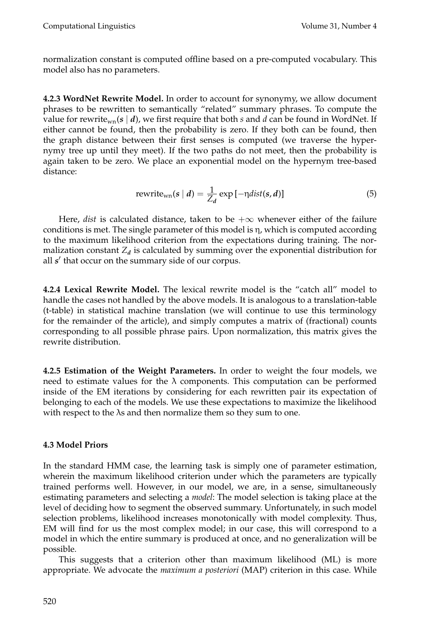normalization constant is computed offline based on a pre-computed vocabulary. This model also has no parameters.

**4.2.3 WordNet Rewrite Model.** In order to account for synonymy, we allow document phrases to be rewritten to semantically "related" summary phrases. To compute the value for rewrite<sub>wn</sub>( $s \mid d$ ), we first require that both *s* and *d* can be found in WordNet. If either cannot be found, then the probability is zero. If they both can be found, then the graph distance between their first senses is computed (we traverse the hypernymy tree up until they meet). If the two paths do not meet, then the probability is again taken to be zero. We place an exponential model on the hypernym tree-based distance:

$$
rewrite_{wn}(s \mid d) = \frac{1}{Z_d} \exp\left[-\eta dist(s, d)\right] \tag{5}
$$

Here, *dist* is calculated distance, taken to be  $+\infty$  whenever either of the failure conditions is met. The single parameter of this model is η, which is computed according to the maximum likelihood criterion from the expectations during training. The normalization constant  $Z_d$  is calculated by summing over the exponential distribution for all *s'* that occur on the summary side of our corpus.

**4.2.4 Lexical Rewrite Model.** The lexical rewrite model is the "catch all" model to handle the cases not handled by the above models. It is analogous to a translation-table (t-table) in statistical machine translation (we will continue to use this terminology for the remainder of the article), and simply computes a matrix of (fractional) counts corresponding to all possible phrase pairs. Upon normalization, this matrix gives the rewrite distribution.

**4.2.5 Estimation of the Weight Parameters.** In order to weight the four models, we need to estimate values for the  $\lambda$  components. This computation can be performed inside of the EM iterations by considering for each rewritten pair its expectation of belonging to each of the models. We use these expectations to maximize the likelihood with respect to the  $\lambda$ s and then normalize them so they sum to one.

# **4.3 Model Priors**

In the standard HMM case, the learning task is simply one of parameter estimation, wherein the maximum likelihood criterion under which the parameters are typically trained performs well. However, in our model, we are, in a sense, simultaneously estimating parameters and selecting a *model*: The model selection is taking place at the level of deciding how to segment the observed summary. Unfortunately, in such model selection problems, likelihood increases monotonically with model complexity. Thus, EM will find for us the most complex model; in our case, this will correspond to a model in which the entire summary is produced at once, and no generalization will be possible.

This suggests that a criterion other than maximum likelihood (ML) is more appropriate. We advocate the *maximum a posteriori* (MAP) criterion in this case. While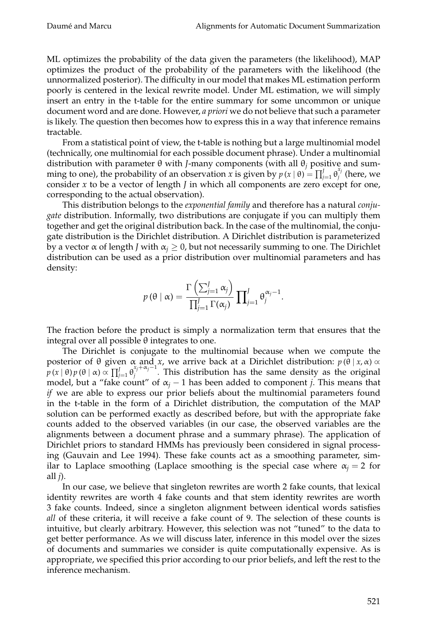ML optimizes the probability of the data given the parameters (the likelihood), MAP optimizes the product of the probability of the parameters with the likelihood (the unnormalized posterior). The difficulty in our model that makes ML estimation perform poorly is centered in the lexical rewrite model. Under ML estimation, we will simply insert an entry in the t-table for the entire summary for some uncommon or unique document word and are done. However, *a priori* we do not believe that such a parameter is likely. The question then becomes how to express this in a way that inference remains tractable.

From a statistical point of view, the t-table is nothing but a large multinomial model (technically, one multinomial for each possible document phrase). Under a multinomial distribution with parameter θ with *J*-many components (with all θ*<sup>j</sup>* positive and summing to one), the probability of an observation *x* is given by  $p(x | \theta) = \prod_{j=1}^{J} \theta_j^{x_j}$  (here, we consider *x* to be a vector of length *J* in which all components are zero except for one, corresponding to the actual observation).

This distribution belongs to the *exponential family* and therefore has a natural *conjugate* distribution. Informally, two distributions are conjugate if you can multiply them together and get the original distribution back. In the case of the multinomial, the conjugate distribution is the Dirichlet distribution. A Dirichlet distribution is parameterized by a vector  $\alpha$  of length *J* with  $\alpha$ <sub>*i*</sub>  $\geq$  0, but not necessarily summing to one. The Dirichlet distribution can be used as a prior distribution over multinomial parameters and has density:

$$
p(\theta \mid \alpha) = \frac{\Gamma\left(\sum_{j=1}^{J} \alpha_j\right)}{\prod_{j=1}^{J} \Gamma(\alpha_j)} \prod_{j=1}^{J} \theta_j^{\alpha_j - 1}.
$$

The fraction before the product is simply a normalization term that ensures that the integral over all possible θ integrates to one.

The Dirichlet is conjugate to the multinomial because when we compute the posterior of θ given α and *x*, we arrive back at a Dirichlet distribution: *p* (θ | *x*,α) ∝  $p(x | \theta) p(\theta | \alpha) \propto \prod_{j=1}^{J} \theta_j^{x_j+\alpha_j-1}$ . This distribution has the same density as the original model, but a "fake count" of  $\alpha_j - 1$  has been added to component *j*. This means that *if* we are able to express our prior beliefs about the multinomial parameters found in the t-table in the form of a Dirichlet distribution, the computation of the MAP solution can be performed exactly as described before, but with the appropriate fake counts added to the observed variables (in our case, the observed variables are the alignments between a document phrase and a summary phrase). The application of Dirichlet priors to standard HMMs has previously been considered in signal processing (Gauvain and Lee 1994). These fake counts act as a smoothing parameter, similar to Laplace smoothing (Laplace smoothing is the special case where  $\alpha_j = 2$  for all *j*).

In our case, we believe that singleton rewrites are worth 2 fake counts, that lexical identity rewrites are worth 4 fake counts and that stem identity rewrites are worth 3 fake counts. Indeed, since a singleton alignment between identical words satisfies *all* of these criteria, it will receive a fake count of 9. The selection of these counts is intuitive, but clearly arbitrary. However, this selection was not "tuned" to the data to get better performance. As we will discuss later, inference in this model over the sizes of documents and summaries we consider is quite computationally expensive. As is appropriate, we specified this prior according to our prior beliefs, and left the rest to the inference mechanism.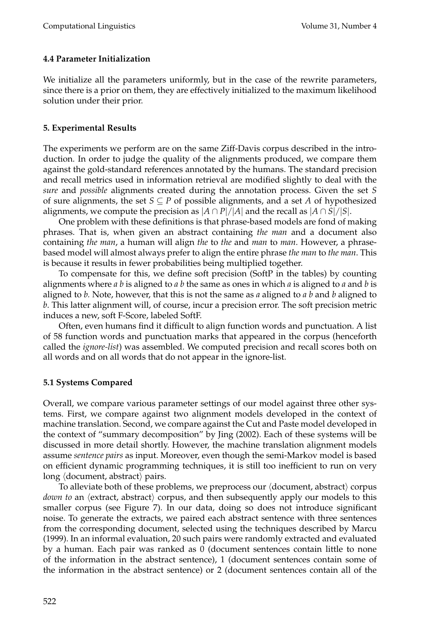# **4.4 Parameter Initialization**

We initialize all the parameters uniformly, but in the case of the rewrite parameters, since there is a prior on them, they are effectively initialized to the maximum likelihood solution under their prior.

# **5. Experimental Results**

The experiments we perform are on the same Ziff-Davis corpus described in the introduction. In order to judge the quality of the alignments produced, we compare them against the gold-standard references annotated by the humans. The standard precision and recall metrics used in information retrieval are modified slightly to deal with the *sure* and *possible* alignments created during the annotation process. Given the set *S* of sure alignments, the set  $S \subseteq P$  of possible alignments, and a set *A* of hypothesized alignments, we compute the precision as  $|A \cap P|/|A|$  and the recall as  $|A \cap S|/|S|$ .

One problem with these definitions is that phrase-based models are fond of making phrases. That is, when given an abstract containing *the man* and a document also containing *the man*, a human will align *the* to *the* and *man* to *man*. However, a phrasebased model will almost always prefer to align the entire phrase *the man* to *the man*. This is because it results in fewer probabilities being multiplied together.

To compensate for this, we define soft precision (SoftP in the tables) by counting alignments where *a b* is aligned to *a b* the same as ones in which *a* is aligned to *a* and *b* is aligned to *b.* Note, however, that this is not the same as *a* aligned to *a b* and *b* aligned to *b*. This latter alignment will, of course, incur a precision error. The soft precision metric induces a new, soft F-Score, labeled SoftF.

Often, even humans find it difficult to align function words and punctuation. A list of 58 function words and punctuation marks that appeared in the corpus (henceforth called the *ignore-list*) was assembled. We computed precision and recall scores both on all words and on all words that do not appear in the ignore-list.

# **5.1 Systems Compared**

Overall, we compare various parameter settings of our model against three other systems. First, we compare against two alignment models developed in the context of machine translation. Second, we compare against the Cut and Paste model developed in the context of "summary decomposition" by Jing (2002). Each of these systems will be discussed in more detail shortly. However, the machine translation alignment models assume *sentence pairs* as input. Moreover, even though the semi-Markov model is based on efficient dynamic programming techniques, it is still too inefficient to run on very long  $\langle$ document, abstract $\rangle$  pairs.

To alleviate both of these problems, we preprocess our  $\langle$  document, abstract $\rangle$  corpus *down to* an  $\langle$ extract, abstract $\rangle$  corpus, and then subsequently apply our models to this smaller corpus (see Figure 7). In our data, doing so does not introduce significant noise. To generate the extracts, we paired each abstract sentence with three sentences from the corresponding document, selected using the techniques described by Marcu (1999). In an informal evaluation, 20 such pairs were randomly extracted and evaluated by a human. Each pair was ranked as 0 (document sentences contain little to none of the information in the abstract sentence), 1 (document sentences contain some of the information in the abstract sentence) or 2 (document sentences contain all of the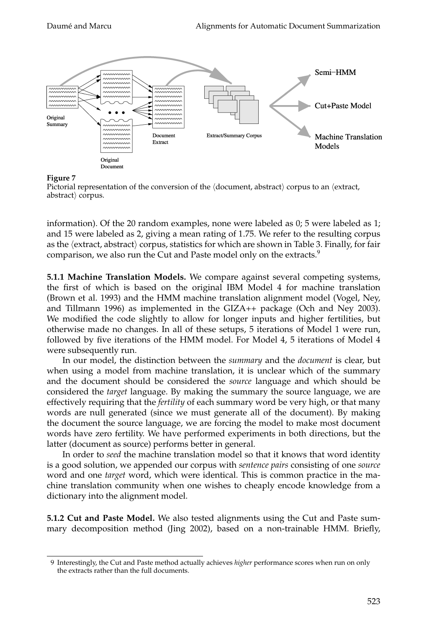

# **Figure 7**

Pictorial representation of the conversion of the  $\langle$ document, abstract $\rangle$  corpus to an  $\langle$ extract,  $abstract$  corpus.

information). Of the 20 random examples, none were labeled as 0; 5 were labeled as 1; and 15 were labeled as 2, giving a mean rating of 1.75. We refer to the resulting corpus as the  $\langle$ extract, abstract $\rangle$  corpus, statistics for which are shown in Table 3. Finally, for fair comparison, we also run the Cut and Paste model only on the extracts.<sup>9</sup>

**5.1.1 Machine Translation Models.** We compare against several competing systems, the first of which is based on the original IBM Model 4 for machine translation (Brown et al. 1993) and the HMM machine translation alignment model (Vogel, Ney, and Tillmann 1996) as implemented in the GIZA++ package (Och and Ney 2003). We modified the code slightly to allow for longer inputs and higher fertilities, but otherwise made no changes. In all of these setups, 5 iterations of Model 1 were run, followed by five iterations of the HMM model. For Model 4, 5 iterations of Model 4 were subsequently run.

In our model, the distinction between the *summary* and the *document* is clear, but when using a model from machine translation, it is unclear which of the summary and the document should be considered the *source* language and which should be considered the *target* language. By making the summary the source language, we are effectively requiring that the *fertility* of each summary word be very high, or that many words are null generated (since we must generate all of the document). By making the document the source language, we are forcing the model to make most document words have zero fertility. We have performed experiments in both directions, but the latter (document as source) performs better in general.

In order to *seed* the machine translation model so that it knows that word identity is a good solution, we appended our corpus with *sentence pairs* consisting of one *source* word and one *target* word, which were identical. This is common practice in the machine translation community when one wishes to cheaply encode knowledge from a dictionary into the alignment model.

**5.1.2 Cut and Paste Model.** We also tested alignments using the Cut and Paste summary decomposition method (Jing 2002), based on a non-trainable HMM. Briefly,

<sup>9</sup> Interestingly, the Cut and Paste method actually achieves *higher* performance scores when run on only the extracts rather than the full documents.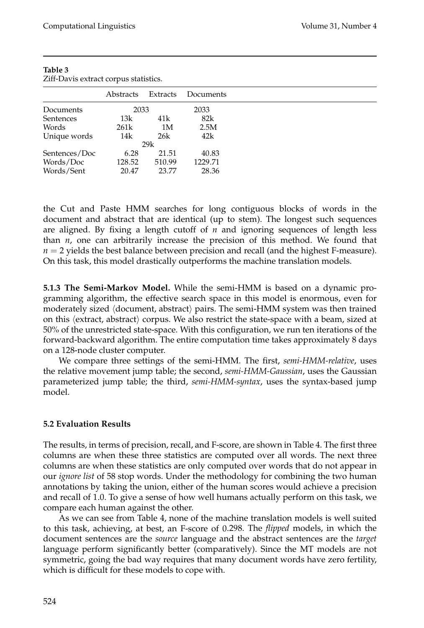| Abstracts        | Extracts | Documents   |
|------------------|----------|-------------|
|                  |          | 2033        |
| 13k              | 41k      | 82k         |
| 261 <sub>k</sub> | 1M       | 2.5M        |
| 14k              | 26k      | 42k         |
|                  |          |             |
| 6.28             | 21.51    | 40.83       |
| 128.52           | 510.99   | 1229.71     |
| 20.47            | 23.77    | 28.36       |
|                  |          | 2033<br>29k |

**Table 3** Ziff-Davis extract corpus statistics.

the Cut and Paste HMM searches for long contiguous blocks of words in the document and abstract that are identical (up to stem). The longest such sequences are aligned. By fixing a length cutoff of *n* and ignoring sequences of length less than *n*, one can arbitrarily increase the precision of this method. We found that  $n = 2$  yields the best balance between precision and recall (and the highest F-measure). On this task, this model drastically outperforms the machine translation models.

**5.1.3 The Semi-Markov Model.** While the semi-HMM is based on a dynamic programming algorithm, the effective search space in this model is enormous, even for moderately sized  $\langle$  document, abstract $\rangle$  pairs. The semi-HMM system was then trained on this  $\langle$ extract, abstract $\rangle$  corpus. We also restrict the state-space with a beam, sized at 50% of the unrestricted state-space. With this configuration, we run ten iterations of the forward-backward algorithm. The entire computation time takes approximately 8 days on a 128-node cluster computer.

We compare three settings of the semi-HMM. The first, *semi-HMM-relative*, uses the relative movement jump table; the second, *semi-HMM-Gaussian*, uses the Gaussian parameterized jump table; the third, *semi-HMM-syntax*, uses the syntax-based jump model.

# **5.2 Evaluation Results**

The results, in terms of precision, recall, and F-score, are shown in Table 4. The first three columns are when these three statistics are computed over all words. The next three columns are when these statistics are only computed over words that do not appear in our *ignore list* of 58 stop words. Under the methodology for combining the two human annotations by taking the union, either of the human scores would achieve a precision and recall of 1.0. To give a sense of how well humans actually perform on this task, we compare each human against the other.

As we can see from Table 4, none of the machine translation models is well suited to this task, achieving, at best, an F-score of 0.298. The *flipped* models, in which the document sentences are the *source* language and the abstract sentences are the *target* language perform significantly better (comparatively). Since the MT models are not symmetric, going the bad way requires that many document words have zero fertility, which is difficult for these models to cope with.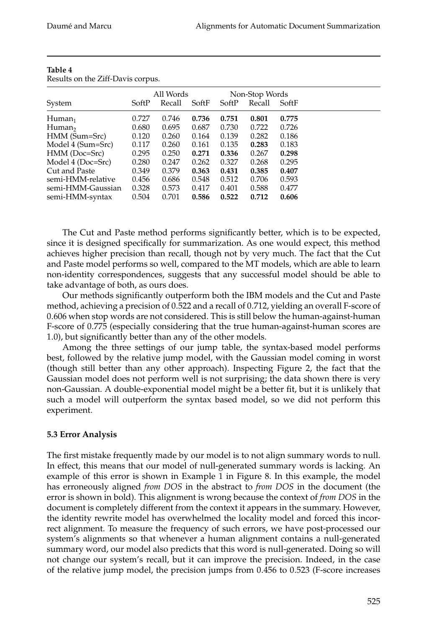|                       | All Words |        |       | Non-Stop Words |        |       |
|-----------------------|-----------|--------|-------|----------------|--------|-------|
| System                | SoftP     | Recall | SoftF | SoftP          | Recall | SoftF |
| $H$ uman <sub>1</sub> | 0.727     | 0.746  | 0.736 | 0.751          | 0.801  | 0.775 |
| Human <sub>2</sub>    | 0.680     | 0.695  | 0.687 | 0.730          | 0.722  | 0.726 |
| HMM (Sum=Src)         | 0.120     | 0.260  | 0.164 | 0.139          | 0.282  | 0.186 |
| Model 4 (Sum=Src)     | 0.117     | 0.260  | 0.161 | 0.135          | 0.283  | 0.183 |
| HMM (Doc=Src)         | 0.295     | 0.250  | 0.271 | 0.336          | 0.267  | 0.298 |
| Model 4 (Doc=Src)     | 0.280     | 0.247  | 0.262 | 0.327          | 0.268  | 0.295 |
| Cut and Paste         | 0.349     | 0.379  | 0.363 | 0.431          | 0.385  | 0.407 |
| semi-HMM-relative     | 0.456     | 0.686  | 0.548 | 0.512          | 0.706  | 0.593 |
| semi-HMM-Gaussian     | 0.328     | 0.573  | 0.417 | 0.401          | 0.588  | 0.477 |
| semi-HMM-syntax       | 0.504     | 0.701  | 0.586 | 0.522          | 0.712  | 0.606 |

#### **Table 4** Results on the Ziff-Davis corpus.

The Cut and Paste method performs significantly better, which is to be expected, since it is designed specifically for summarization. As one would expect, this method achieves higher precision than recall, though not by very much. The fact that the Cut and Paste model performs so well, compared to the MT models, which are able to learn non-identity correspondences, suggests that any successful model should be able to take advantage of both, as ours does.

Our methods significantly outperform both the IBM models and the Cut and Paste method, achieving a precision of 0.522 and a recall of 0.712, yielding an overall F-score of 0.606 when stop words are not considered. This is still below the human-against-human F-score of 0.775 (especially considering that the true human-against-human scores are 1.0), but significantly better than any of the other models.

Among the three settings of our jump table, the syntax-based model performs best, followed by the relative jump model, with the Gaussian model coming in worst (though still better than any other approach). Inspecting Figure 2, the fact that the Gaussian model does not perform well is not surprising; the data shown there is very non-Gaussian. A double-exponential model might be a better fit, but it is unlikely that such a model will outperform the syntax based model, so we did not perform this experiment.

# **5.3 Error Analysis**

The first mistake frequently made by our model is to not align summary words to null. In effect, this means that our model of null-generated summary words is lacking. An example of this error is shown in Example 1 in Figure 8. In this example, the model has erroneously aligned *from DOS* in the abstract to *from DOS* in the document (the error is shown in bold). This alignment is wrong because the context of *from DOS* in the document is completely different from the context it appears in the summary. However, the identity rewrite model has overwhelmed the locality model and forced this incorrect alignment. To measure the frequency of such errors, we have post-processed our system's alignments so that whenever a human alignment contains a null-generated summary word, our model also predicts that this word is null-generated. Doing so will not change our system's recall, but it can improve the precision. Indeed, in the case of the relative jump model, the precision jumps from 0.456 to 0.523 (F-score increases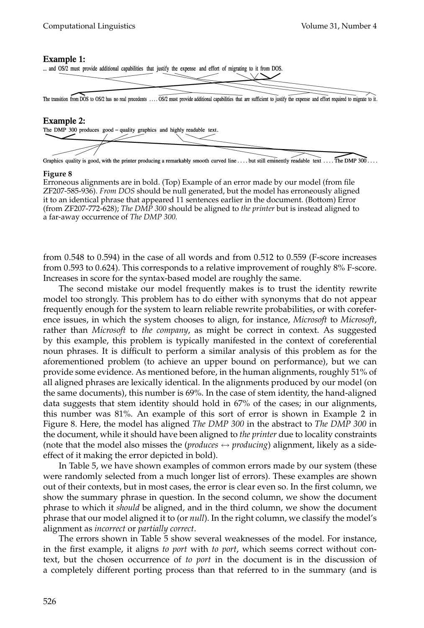### **Example 1:**



### **Example 2:**



. The DMP  $300$ .. Graphics quality is good, with the printer producing a remarkably smooth curved line .... but still eminently readable text ..

### **Figure 8**

Erroneous alignments are in bold. (Top) Example of an error made by our model (from file ZF207-585-936). *From DOS* should be null generated, but the model has erroneously aligned it to an identical phrase that appeared 11 sentences earlier in the document. (Bottom) Error (from ZF207-772-628); *The DMP 300* should be aligned to *the printer* but is instead aligned to a far-away occurrence of *The DMP 300.*

from 0.548 to 0.594) in the case of all words and from 0.512 to 0.559 (F-score increases from 0.593 to 0.624). This corresponds to a relative improvement of roughly 8% F-score. Increases in score for the syntax-based model are roughly the same.

The second mistake our model frequently makes is to trust the identity rewrite model too strongly. This problem has to do either with synonyms that do not appear frequently enough for the system to learn reliable rewrite probabilities, or with coreference issues, in which the system chooses to align, for instance, *Microsoft* to *Microsoft*, rather than *Microsoft* to *the company*, as might be correct in context. As suggested by this example, this problem is typically manifested in the context of coreferential noun phrases. It is difficult to perform a similar analysis of this problem as for the aforementioned problem (to achieve an upper bound on performance), but we can provide some evidence. As mentioned before, in the human alignments, roughly 51% of all aligned phrases are lexically identical. In the alignments produced by our model (on the same documents), this number is 69%. In the case of stem identity, the hand-aligned data suggests that stem identity should hold in 67% of the cases; in our alignments, this number was 81%. An example of this sort of error is shown in Example 2 in Figure 8. Here, the model has aligned *The DMP 300* in the abstract to *The DMP 300* in the document, while it should have been aligned to *the printer* due to locality constraints (note that the model also misses the (*produces*  $\leftrightarrow$  *producing*) alignment, likely as a sideeffect of it making the error depicted in bold).

In Table 5, we have shown examples of common errors made by our system (these were randomly selected from a much longer list of errors). These examples are shown out of their contexts, but in most cases, the error is clear even so. In the first column, we show the summary phrase in question. In the second column, we show the document phrase to which it *should* be aligned, and in the third column, we show the document phrase that our model aligned it to (or *null*). In the right column, we classify the model's alignment as *incorrect* or *partially correct*.

The errors shown in Table 5 show several weaknesses of the model. For instance, in the first example, it aligns *to port* with *to port*, which seems correct without context, but the chosen occurrence of *to port* in the document is in the discussion of a completely different porting process than that referred to in the summary (and is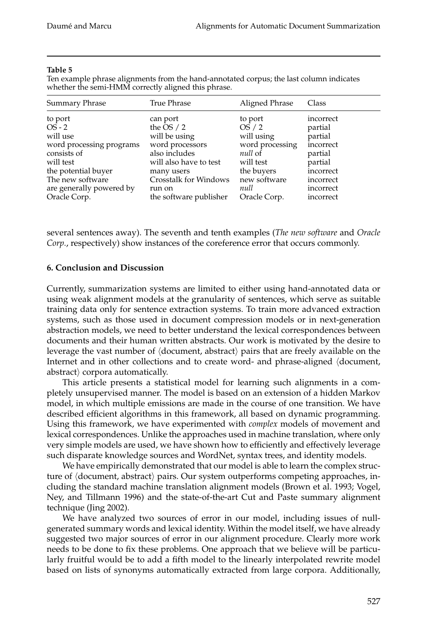### **Table 5**

Ten example phrase alignments from the hand-annotated corpus; the last column indicates whether the semi-HMM correctly aligned this phrase.

| Summary Phrase           | True Phrase            | Aligned Phrase  | Class     |
|--------------------------|------------------------|-----------------|-----------|
| to port                  | can port               | to port         | incorrect |
| $OS - 2$                 | the OS $/2$            | OS/2            | partial   |
| will use                 | will be using          | will using      | partial   |
| word processing programs | word processors        | word processing | incorrect |
| consists of              | also includes          | null of         | partial   |
| will test                | will also have to test | will test       | partial   |
| the potential buyer      | many users             | the buyers      | incorrect |
| The new software         | Crosstalk for Windows  | new software    | incorrect |
| are generally powered by | run on                 | null            | incorrect |
| Oracle Corp.             | the software publisher | Oracle Corp.    | incorrect |

several sentences away). The seventh and tenth examples (*The new software* and *Oracle Corp.*, respectively) show instances of the coreference error that occurs commonly.

### **6. Conclusion and Discussion**

Currently, summarization systems are limited to either using hand-annotated data or using weak alignment models at the granularity of sentences, which serve as suitable training data only for sentence extraction systems. To train more advanced extraction systems, such as those used in document compression models or in next-generation abstraction models, we need to better understand the lexical correspondences between documents and their human written abstracts. Our work is motivated by the desire to leverage the vast number of  $\langle$ document, abstract $\rangle$  pairs that are freely available on the Internet and in other collections and to create word- and phrase-aligned (document, abstract $\rangle$  corpora automatically.

This article presents a statistical model for learning such alignments in a completely unsupervised manner. The model is based on an extension of a hidden Markov model, in which multiple emissions are made in the course of one transition. We have described efficient algorithms in this framework, all based on dynamic programming. Using this framework, we have experimented with *complex* models of movement and lexical correspondences. Unlike the approaches used in machine translation, where only very simple models are used, we have shown how to efficiently and effectively leverage such disparate knowledge sources and WordNet, syntax trees, and identity models.

We have empirically demonstrated that our model is able to learn the complex structure of  $\langle$ document, abstract $\rangle$  pairs. Our system outperforms competing approaches, including the standard machine translation alignment models (Brown et al. 1993; Vogel, Ney, and Tillmann 1996) and the state-of-the-art Cut and Paste summary alignment technique (Jing 2002).

We have analyzed two sources of error in our model, including issues of nullgenerated summary words and lexical identity. Within the model itself, we have already suggested two major sources of error in our alignment procedure. Clearly more work needs to be done to fix these problems. One approach that we believe will be particularly fruitful would be to add a fifth model to the linearly interpolated rewrite model based on lists of synonyms automatically extracted from large corpora. Additionally,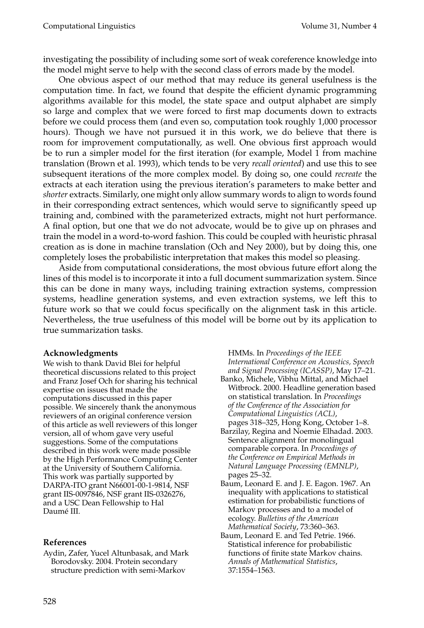investigating the possibility of including some sort of weak coreference knowledge into the model might serve to help with the second class of errors made by the model.

One obvious aspect of our method that may reduce its general usefulness is the computation time. In fact, we found that despite the efficient dynamic programming algorithms available for this model, the state space and output alphabet are simply so large and complex that we were forced to first map documents down to extracts before we could process them (and even so, computation took roughly 1,000 processor hours). Though we have not pursued it in this work, we do believe that there is room for improvement computationally, as well. One obvious first approach would be to run a simpler model for the first iteration (for example, Model 1 from machine translation (Brown et al. 1993), which tends to be very *recall oriented*) and use this to see subsequent iterations of the more complex model. By doing so, one could *recreate* the extracts at each iteration using the previous iteration's parameters to make better and *shorter* extracts. Similarly, one might only allow summary words to align to words found in their corresponding extract sentences, which would serve to significantly speed up training and, combined with the parameterized extracts, might not hurt performance. A final option, but one that we do not advocate, would be to give up on phrases and train the model in a word-to-word fashion. This could be coupled with heuristic phrasal creation as is done in machine translation (Och and Ney 2000), but by doing this, one completely loses the probabilistic interpretation that makes this model so pleasing.

Aside from computational considerations, the most obvious future effort along the lines of this model is to incorporate it into a full document summarization system. Since this can be done in many ways, including training extraction systems, compression systems, headline generation systems, and even extraction systems, we left this to future work so that we could focus specifically on the alignment task in this article. Nevertheless, the true usefulness of this model will be borne out by its application to true summarization tasks.

# **Acknowledgments**

We wish to thank David Blei for helpful theoretical discussions related to this project and Franz Josef Och for sharing his technical expertise on issues that made the computations discussed in this paper possible. We sincerely thank the anonymous reviewers of an original conference version of this article as well reviewers of this longer version, all of whom gave very useful suggestions. Some of the computations described in this work were made possible by the High Performance Computing Center at the University of Southern California. This work was partially supported by DARPA-ITO grant N66001-00-1-9814, NSF grant IIS-0097846, NSF grant IIS-0326276, and a USC Dean Fellowship to Hal Daumé III.

# **References**

Aydin, Zafer, Yucel Altunbasak, and Mark Borodovsky. 2004. Protein secondary structure prediction with semi-Markov

HMMs. In *Proceedings of the IEEE International Conference on Acoustics, Speech and Signal Processing (ICASSP)*, May 17–21.

- Banko, Michele, Vibhu Mittal, and Michael Witbrock. 2000. Headline generation based on statistical translation. In *Proceedings of the Conference of the Association for Computational Linguistics (ACL)*, pages 318–325, Hong Kong, October 1–8.
- Barzilay, Regina and Noemie Elhadad. 2003. Sentence alignment for monolingual comparable corpora. In *Proceedings of the Conference on Empirical Methods in Natural Language Processing (EMNLP)*, pages 25–32.
- Baum, Leonard E. and J. E. Eagon. 1967. An inequality with applications to statistical estimation for probabilistic functions of Markov processes and to a model of ecology. *Bulletins of the American Mathematical Society*, 73:360–363.
- Baum, Leonard E. and Ted Petrie. 1966. Statistical inference for probabilistic functions of finite state Markov chains. *Annals of Mathematical Statistics*, 37:1554–1563.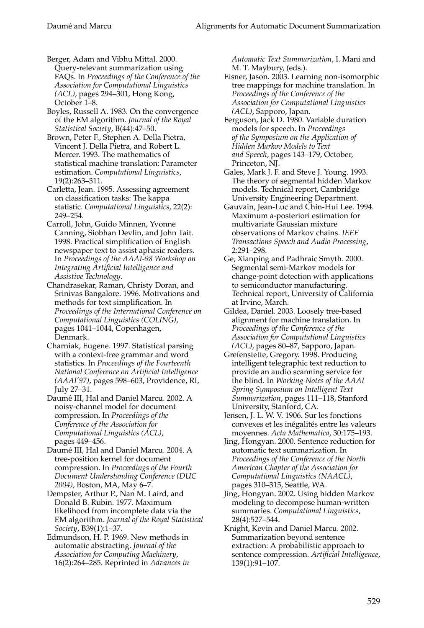- Berger, Adam and Vibhu Mittal. 2000. Query-relevant summarization using FAQs. In *Proceedings of the Conference of the Association for Computational Linguistics (ACL)*, pages 294–301, Hong Kong, October 1–8.
- Boyles, Russell A. 1983. On the convergence of the EM algorithm. *Journal of the Royal Statistical Society*, B(44):47–50.
- Brown, Peter F., Stephen A. Della Pietra, Vincent J. Della Pietra, and Robert L. Mercer. 1993. The mathematics of statistical machine translation: Parameter estimation. *Computational Linguistics*, 19(2):263–311.
- Carletta, Jean. 1995. Assessing agreement on classification tasks: The kappa statistic. *Computational Linguistics*, 22(2): 249–254.
- Carroll, John, Guido Minnen, Yvonne Canning, Siobhan Devlin, and John Tait. 1998. Practical simplification of English newspaper text to assist aphasic readers. In *Proceedings of the AAAI-98 Workshop on Integrating Artificial Intelligence and Assistive Technology*.
- Chandrasekar, Raman, Christy Doran, and Srinivas Bangalore. 1996. Motivations and methods for text simplification. In *Proceedings of the International Conference on Computational Linguistics (COLING)*, pages 1041–1044, Copenhagen, Denmark.
- Charniak, Eugene. 1997. Statistical parsing with a context-free grammar and word statistics. In *Proceedings of the Fourteenth National Conference on Artificial Intelligence (AAAI'97)*, pages 598–603, Providence, RI, July 27–31.
- Daumé III, Hal and Daniel Marcu. 2002. A noisy-channel model for document compression. In *Proceedings of the Conference of the Association for Computational Linguistics (ACL)*, pages 449–456.
- Daumé III, Hal and Daniel Marcu. 2004. A tree-position kernel for document compression. In *Proceedings of the Fourth Document Understanding Conference (DUC 2004)*, Boston, MA, May 6–7.
- Dempster, Arthur P., Nan M. Laird, and Donald B. Rubin. 1977. Maximum likelihood from incomplete data via the EM algorithm. *Journal of the Royal Statistical Society*, B39(1):1–37.
- Edmundson, H. P. 1969. New methods in automatic abstracting. *Journal of the Association for Computing Machinery*, 16(2):264–285. Reprinted in *Advances in*

*Automatic Text Summarization*, I. Mani and M. T. Maybury, (eds.).

- Eisner, Jason. 2003. Learning non-isomorphic tree mappings for machine translation. In *Proceedings of the Conference of the Association for Computational Linguistics (ACL)*, Sapporo, Japan.
- Ferguson, Jack D. 1980. Variable duration models for speech. In *Proceedings of the Symposium on the Application of Hidden Markov Models to Text and Speech*, pages 143–179, October, Princeton, NJ.
- Gales, Mark J. F. and Steve J. Young. 1993. The theory of segmental hidden Markov models. Technical report, Cambridge University Engineering Department.
- Gauvain, Jean-Luc and Chin-Hui Lee. 1994. Maximum a-posteriori estimation for multivariate Gaussian mixture observations of Markov chains. *IEEE Transactions Speech and Audio Processing*, 2:291–298.
- Ge, Xianping and Padhraic Smyth. 2000. Segmental semi-Markov models for change-point detection with applications to semiconductor manufacturing. Technical report, University of California at Irvine, March.
- Gildea, Daniel. 2003. Loosely tree-based alignment for machine translation. In *Proceedings of the Conference of the Association for Computational Linguistics (ACL)*, pages 80–87, Sapporo, Japan.
- Grefenstette, Gregory. 1998. Producing intelligent telegraphic text reduction to provide an audio scanning service for the blind. In *Working Notes of the AAAI Spring Symposium on Intelligent Text Summarization*, pages 111–118, Stanford University, Stanford, CA.
- Jensen, J. L. W. V. 1906. Sur les fonctions convexes et les inégalités entre les valeurs moyennes. *Acta Mathematica*, 30:175–193.
- Jing, Hongyan. 2000. Sentence reduction for automatic text summarization. In *Proceedings of the Conference of the North American Chapter of the Association for Computational Linguistics (NAACL)*, pages 310–315, Seattle, WA.
- Jing, Hongyan. 2002. Using hidden Markov modeling to decompose human-written summaries. *Computational Linguistics*, 28(4):527–544.
- Knight, Kevin and Daniel Marcu. 2002. Summarization beyond sentence extraction: A probabilistic approach to sentence compression. *Artificial Intelligence*, 139(1):91–107.